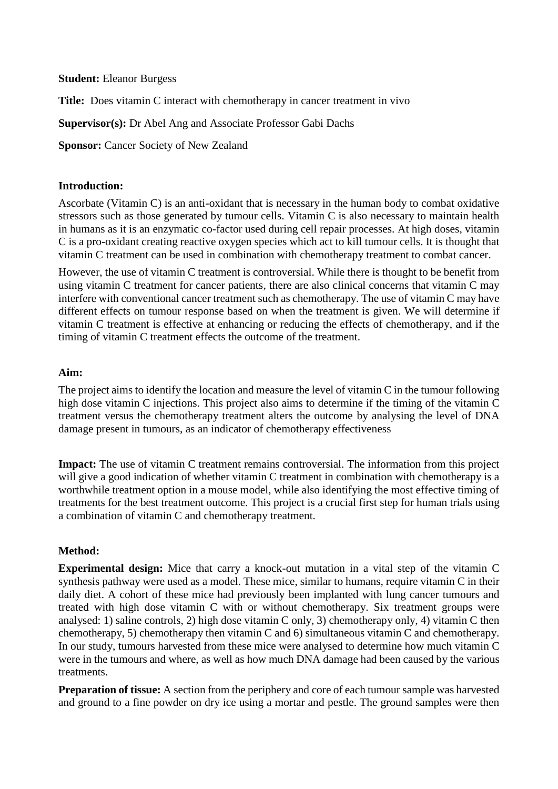**Student:** Eleanor Burgess

**Title:** Does vitamin C interact with chemotherapy in cancer treatment in vivo

**Supervisor(s):** Dr Abel Ang and Associate Professor Gabi Dachs

**Sponsor: Cancer Society of New Zealand** 

# **Introduction:**

Ascorbate (Vitamin C) is an anti-oxidant that is necessary in the human body to combat oxidative stressors such as those generated by tumour cells. Vitamin C is also necessary to maintain health in humans as it is an enzymatic co-factor used during cell repair processes. At high doses, vitamin C is a pro-oxidant creating reactive oxygen species which act to kill tumour cells. It is thought that vitamin C treatment can be used in combination with chemotherapy treatment to combat cancer.

However, the use of vitamin C treatment is controversial. While there is thought to be benefit from using vitamin C treatment for cancer patients, there are also clinical concerns that vitamin C may interfere with conventional cancer treatment such as chemotherapy. The use of vitamin C may have different effects on tumour response based on when the treatment is given. We will determine if vitamin C treatment is effective at enhancing or reducing the effects of chemotherapy, and if the timing of vitamin C treatment effects the outcome of the treatment.

## **Aim:**

The project aims to identify the location and measure the level of vitamin C in the tumour following high dose vitamin C injections. This project also aims to determine if the timing of the vitamin C treatment versus the chemotherapy treatment alters the outcome by analysing the level of DNA damage present in tumours, as an indicator of chemotherapy effectiveness

**Impact:** The use of vitamin C treatment remains controversial. The information from this project will give a good indication of whether vitamin C treatment in combination with chemotherapy is a worthwhile treatment option in a mouse model, while also identifying the most effective timing of treatments for the best treatment outcome. This project is a crucial first step for human trials using a combination of vitamin C and chemotherapy treatment.

## **Method:**

**Experimental design:** Mice that carry a knock-out mutation in a vital step of the vitamin C synthesis pathway were used as a model. These mice, similar to humans, require vitamin C in their daily diet. A cohort of these mice had previously been implanted with lung cancer tumours and treated with high dose vitamin C with or without chemotherapy. Six treatment groups were analysed: 1) saline controls, 2) high dose vitamin C only, 3) chemotherapy only, 4) vitamin C then chemotherapy, 5) chemotherapy then vitamin C and 6) simultaneous vitamin C and chemotherapy. In our study, tumours harvested from these mice were analysed to determine how much vitamin C were in the tumours and where, as well as how much DNA damage had been caused by the various treatments.

**Preparation of tissue:** A section from the periphery and core of each tumour sample was harvested and ground to a fine powder on dry ice using a mortar and pestle. The ground samples were then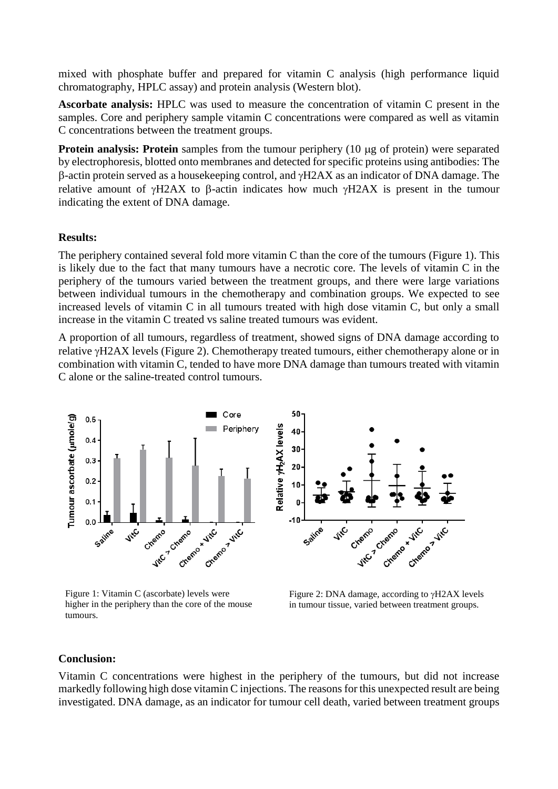mixed with phosphate buffer and prepared for vitamin C analysis (high performance liquid chromatography, HPLC assay) and protein analysis (Western blot).

**Ascorbate analysis:** HPLC was used to measure the concentration of vitamin C present in the samples. Core and periphery sample vitamin C concentrations were compared as well as vitamin C concentrations between the treatment groups.

**Protein analysis: Protein** samples from the tumour periphery (10 µg of protein) were separated by electrophoresis, blotted onto membranes and detected for specific proteins using antibodies: The  $\beta$ -actin protein served as a housekeeping control, and  $\gamma$ H2AX as an indicator of DNA damage. The relative amount of  $\gamma$ H2AX to  $\beta$ -actin indicates how much  $\gamma$ H2AX is present in the tumour indicating the extent of DNA damage.

### **Results:**

The periphery contained several fold more vitamin C than the core of the tumours (Figure 1). This is likely due to the fact that many tumours have a necrotic core. The levels of vitamin C in the periphery of the tumours varied between the treatment groups, and there were large variations between individual tumours in the chemotherapy and combination groups. We expected to see increased levels of vitamin C in all tumours treated with high dose vitamin C, but only a small increase in the vitamin C treated vs saline treated tumours was evident.

A proportion of all tumours, regardless of treatment, showed signs of DNA damage according to relative  $\gamma$ H2AX levels (Figure 2). Chemotherapy treated tumours, either chemotherapy alone or in combination with vitamin C, tended to have more DNA damage than tumours treated with vitamin C alone or the saline-treated control tumours.



Figure 1: Vitamin C (ascorbate) levels were higher in the periphery than the core of the mouse tumours.



Figure 2: DNA damage, according to  $\gamma$ H2AX levels in tumour tissue, varied between treatment groups.

#### **Conclusion:**

Vitamin C concentrations were highest in the periphery of the tumours, but did not increase markedly following high dose vitamin C injections. The reasons for this unexpected result are being investigated. DNA damage, as an indicator for tumour cell death, varied between treatment groups